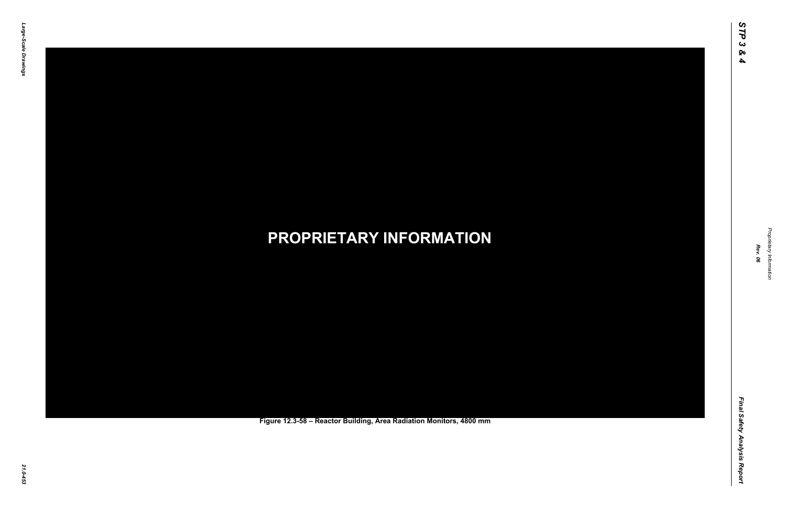Final Safety Analysis Report *Final Safety Analysis Report*



Proprietary Information *Proprietary Information*

### *21.0-453* **PROPRIETARY INFORMATION Figure 12.3-58 – Reactor Building, Area Radiation Monitors, 4800 mm**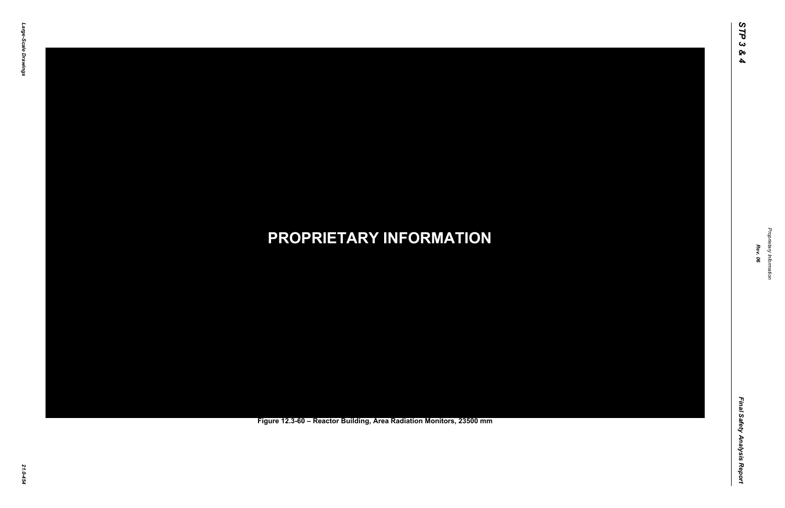Final Safety Analysis Report *Final Safety Analysis Report*



Proprietary Information *Proprietary Information*

### *21.0-454* **PROPRIETARY INFORMATION Figure 12.3-60 – Reactor Building, Area Radiation Monitors, 23500 mm**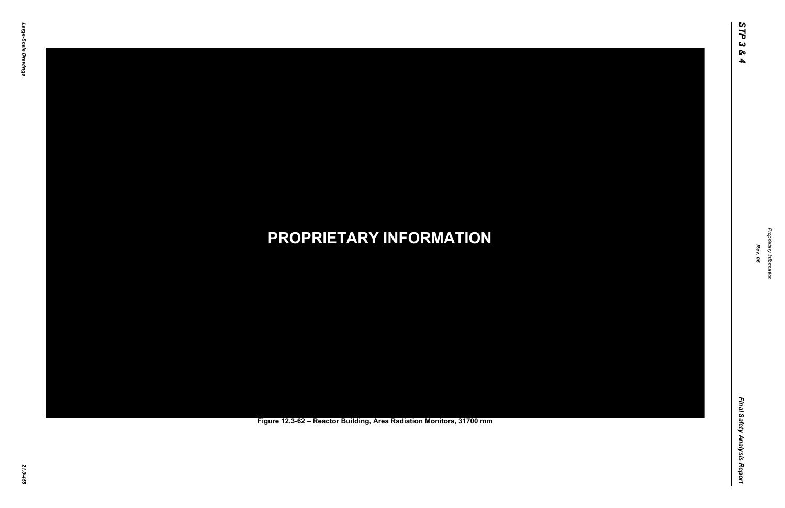Final Safety Analysis Report *Final Safety Analysis Report*



Proprietary Information *Proprietary Information*

### *21.0-455* **PROPRIETARY INFORMATION Figure 12.3-62 – Reactor Building, Area Radiation Monitors, 31700 mm**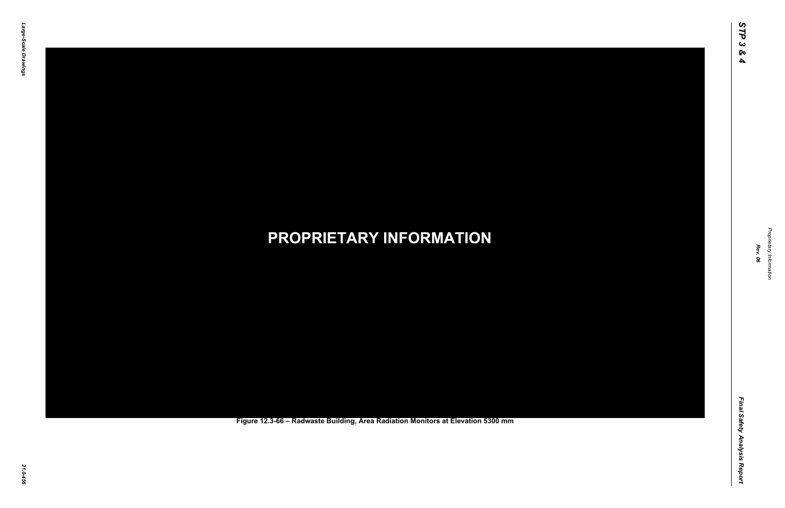Final Safety Analysis Report *Final Safety Analysis Report*



Proprietary Information *Proprietary Information*

### *21.0-456* **PROPRIETARY INFORMATION Figure 12.3-66 – Radwaste Building, Area Radiation Monitors at Elevation 5300 mm**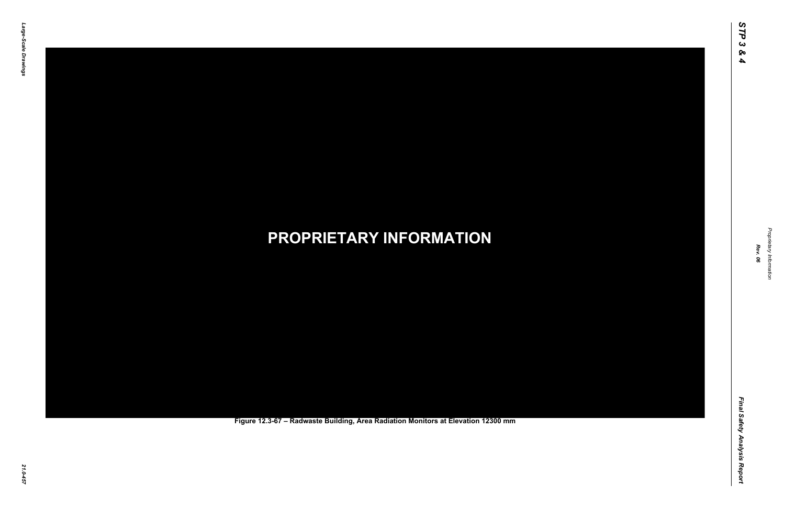Final Safety Analysis Report *Final Safety Analysis Report*



Proprietary Information *Proprietary Information*

### *21.0-457* **PROPRIETARY INFORMATION Figure 12.3-67 – Radwaste Building, Area Radiation Monitors at Elevation 12300 mm**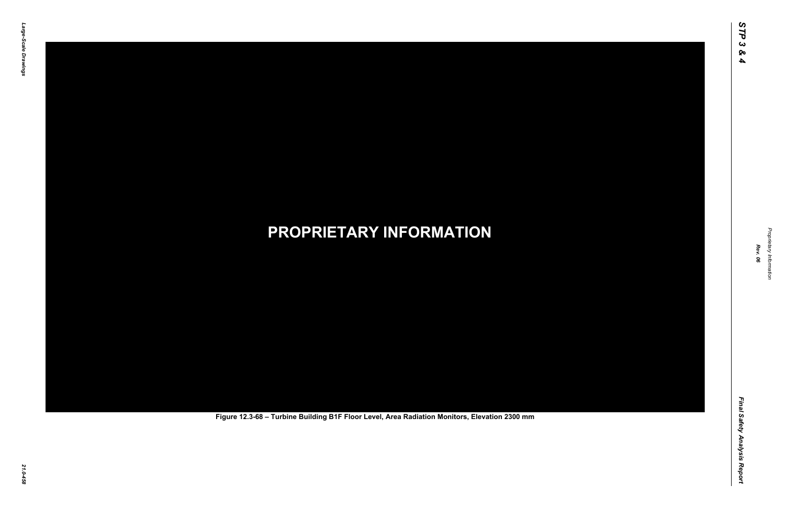Final Safety Analysis Report *Final Safety Analysis Report*



Proprietary Information *Proprietary Information*

# *21.0-458* **PROPRIETARY INFORMATION Figure 12.3-68 – Turbine Building B1F Floor Level, Area Radiation Monitors, Elevation 2300 mm**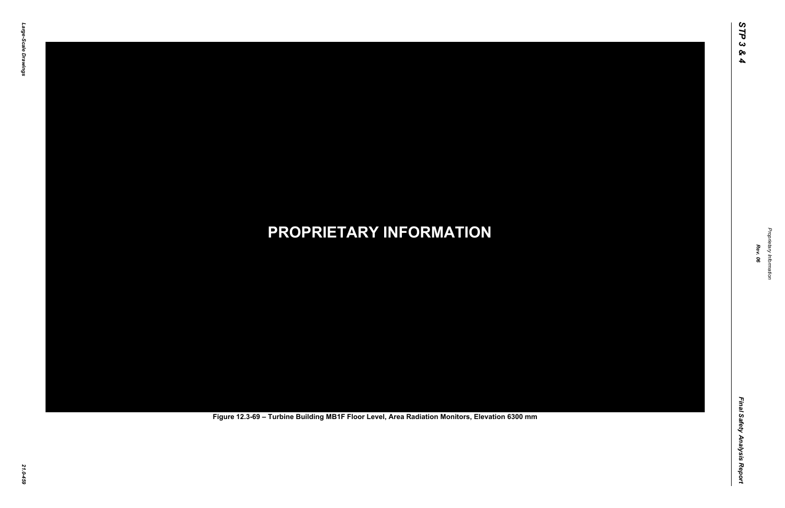Final Safety Analysis Report *Final Safety Analysis Report*



Proprietary Information *Proprietary Information*

# *21.0-459* **PROPRIETARY INFORMATION Figure 12.3-69 – Turbine Building MB1F Floor Level, Area Radiation Monitors, Elevation 6300 mm**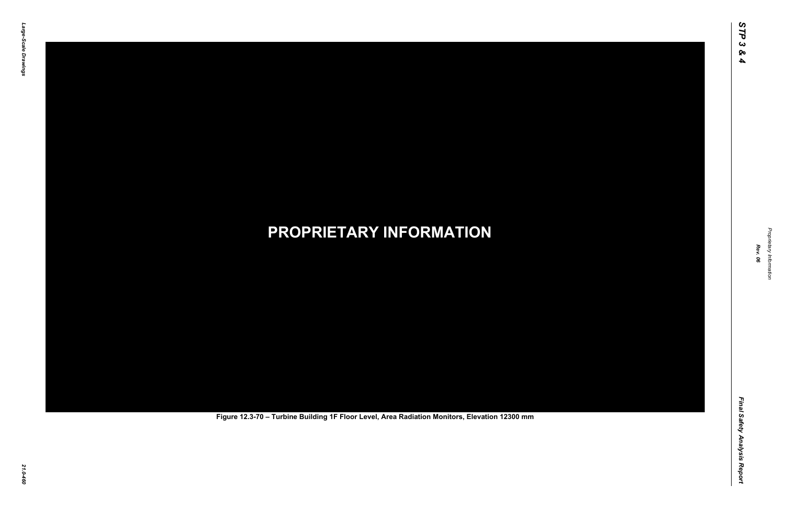Final Safety Analysis Report *Final Safety Analysis Report*



Proprietary Information *Proprietary Information*

# *21.0-460* **PROPRIETARY INFORMATION Figure 12.3-70 – Turbine Building 1F Floor Level, Area Radiation Monitors, Elevation 12300 mm**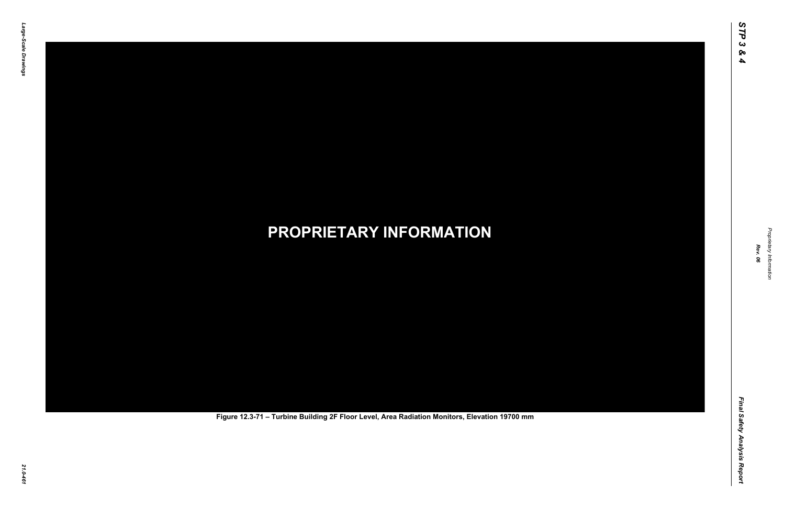Final Safety Analysis Report *Final Safety Analysis Report*



Proprietary Information *Proprietary Information*

# *21.0-461* **PROPRIETARY INFORMATION Figure 12.3-71 – Turbine Building 2F Floor Level, Area Radiation Monitors, Elevation 19700 mm**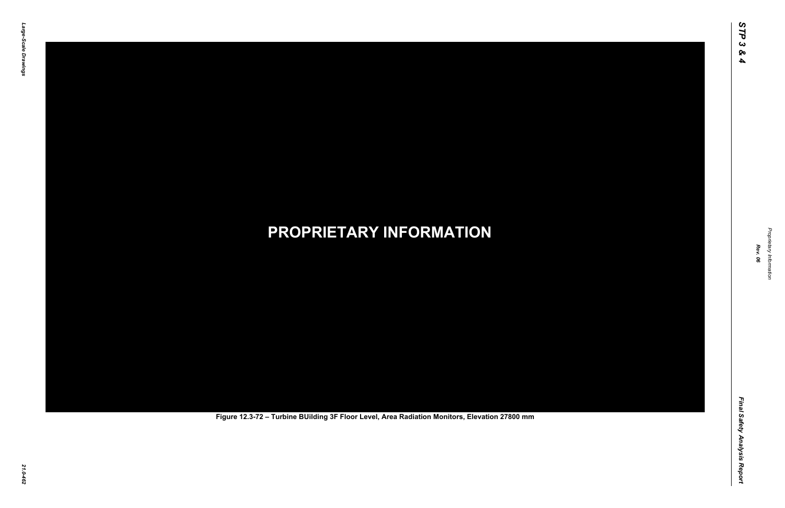Final Safety Analysis Report *Final Safety Analysis Report*



Proprietary Information *Proprietary Information*

# *21.0-462* **PROPRIETARY INFORMATION Figure 12.3-72 – Turbine BUilding 3F Floor Level, Area Radiation Monitors, Elevation 27800 mm**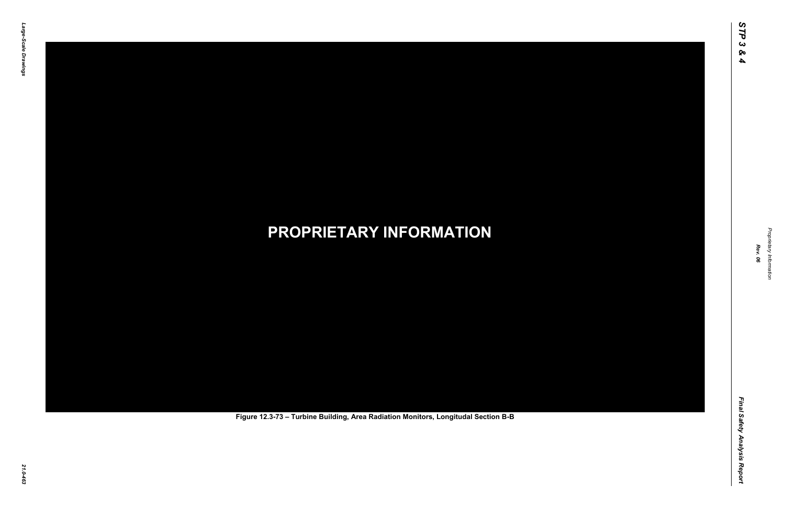Final Safety Analysis Report *Final Safety Analysis Report*



Proprietary Information *Proprietary Information*

# *21.0-463* **PROPRIETARY INFORMATION Figure 12.3-73 – Turbine Building, Area Radiation Monitors, Longitudal Section B-B**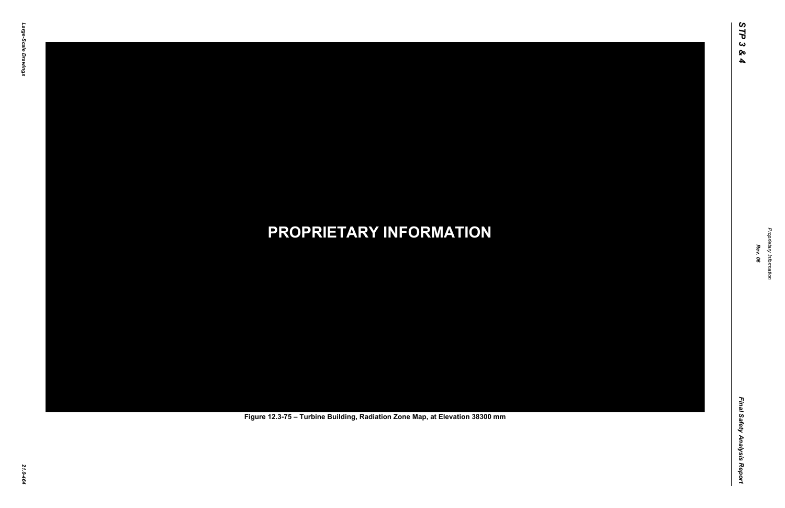Final Safety Analysis Report *Final Safety Analysis Report*



Proprietary Information *Proprietary Information*

# *21.0-464* **PROPRIETARY INFORMATION Figure 12.3-75 – Turbine Building, Radiation Zone Map, at Elevation 38300 mm**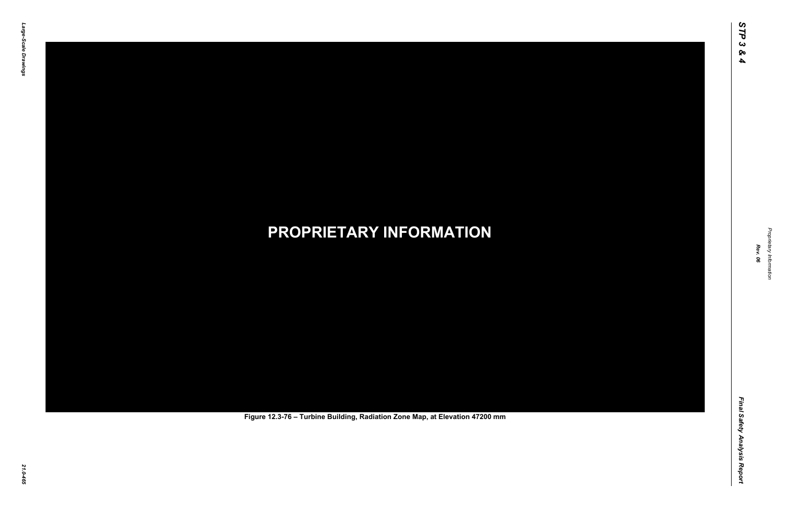Final Safety Analysis Report *Final Safety Analysis Report*



Proprietary Information *Proprietary Information*

# *21.0-465* **PROPRIETARY INFORMATION Figure 12.3-76 – Turbine Building, Radiation Zone Map, at Elevation 47200 mm**